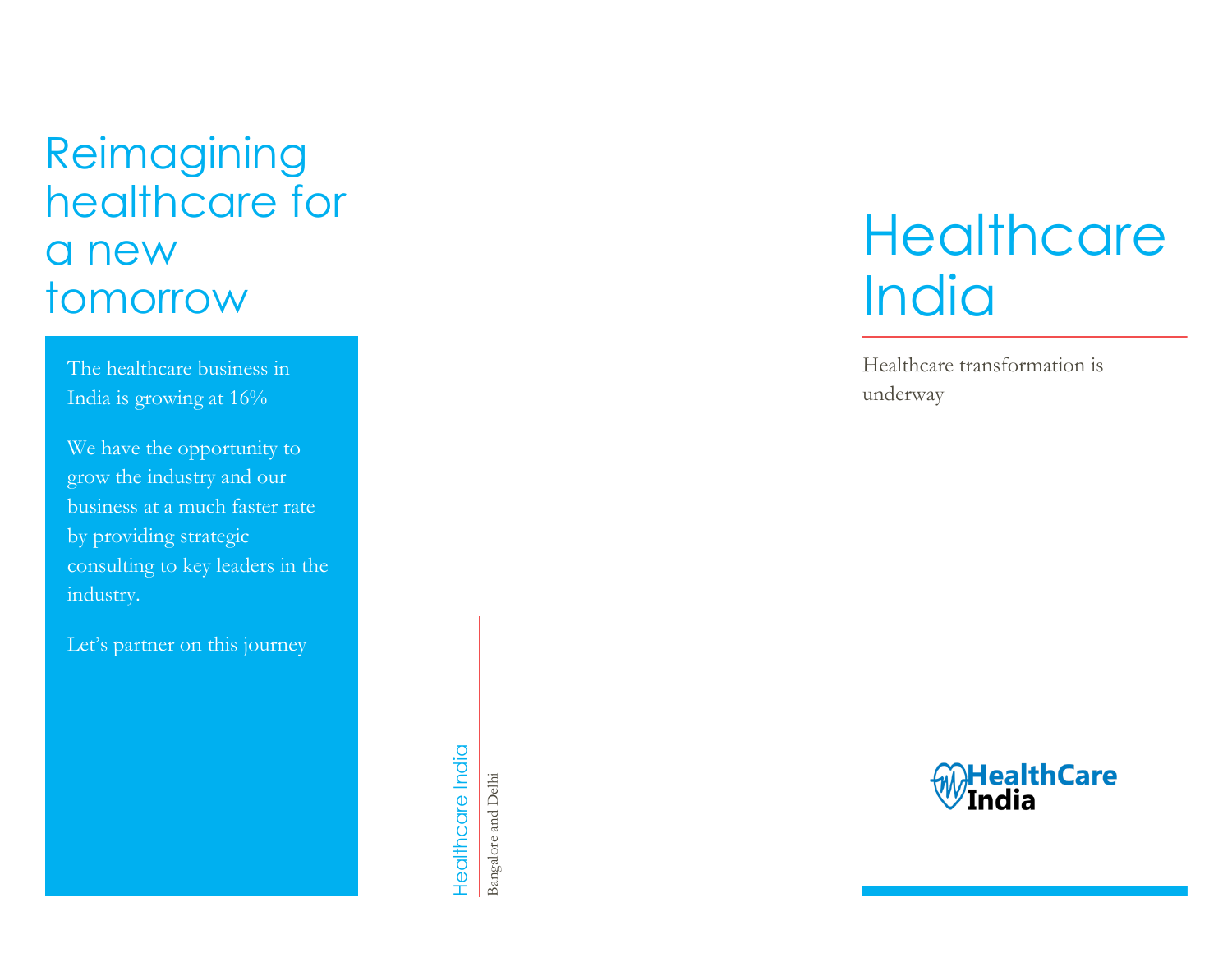# Reimagining healthcare for a new tomorrow

The healthcare business in India is growing at 16%

We have the opportunity to grow the industry and our business at a much faster rate by providing strategic consulting to key leaders in the industry.

Let's partner on this journey

Healthcare India Healthcare India

Bangalore and Delhi Bangalore and Delhi

# **Healthcare India**

Healthcare transformation is underway